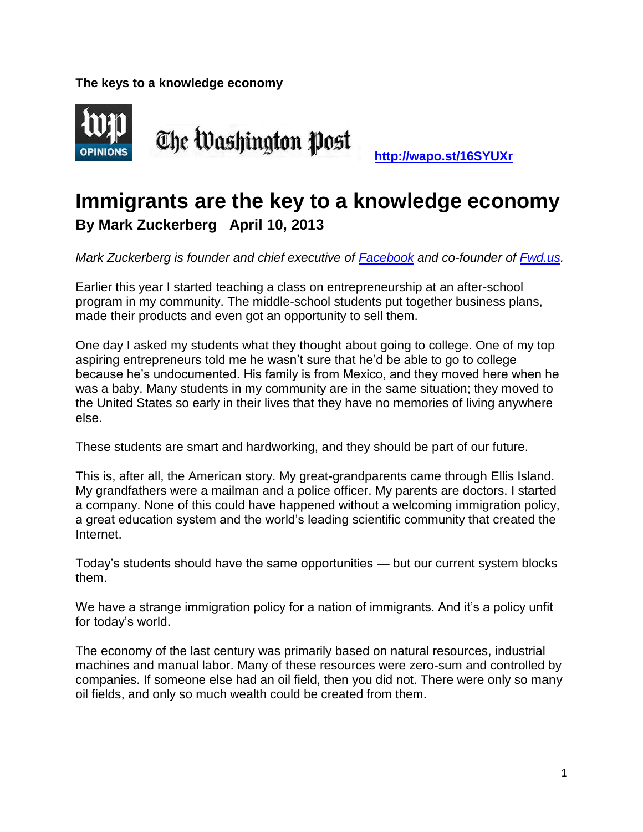**The keys to a knowledge economy** 



## **Immigrants are the key to a knowledge economy By Mark Zuckerberg April 10, 2013**

*Mark Zuckerberg is founder and chief executive of [Facebook](https://www.facebook.com/) and co-founder of [Fwd.us.](http://www.fwd.us/)* 

Earlier this year I started teaching a class on entrepreneurship at an after-school program in my community. The middle-school students put together business plans, made their products and even got an opportunity to sell them.

One day I asked my students what they thought about going to college. One of my top aspiring entrepreneurs told me he wasn't sure that he'd be able to go to college because he's undocumented. His family is from Mexico, and they moved here when he was a baby. Many students in my community are in the same situation; they moved to the United States so early in their lives that they have no memories of living anywhere else.

These students are smart and hardworking, and they should be part of our future.

This is, after all, the American story. My great-grandparents came through Ellis Island. My grandfathers were a mailman and a police officer. My parents are doctors. I started a company. None of this could have happened without a welcoming immigration policy, a great education system and the world's leading scientific community that created the Internet.

Today's students should have the same opportunities — but our current system blocks them.

We have a strange immigration policy for a nation of immigrants. And it's a policy unfit for today's world.

The economy of the last century was primarily based on natural resources, industrial machines and manual labor. Many of these resources were zero-sum and controlled by companies. If someone else had an oil field, then you did not. There were only so many oil fields, and only so much wealth could be created from them.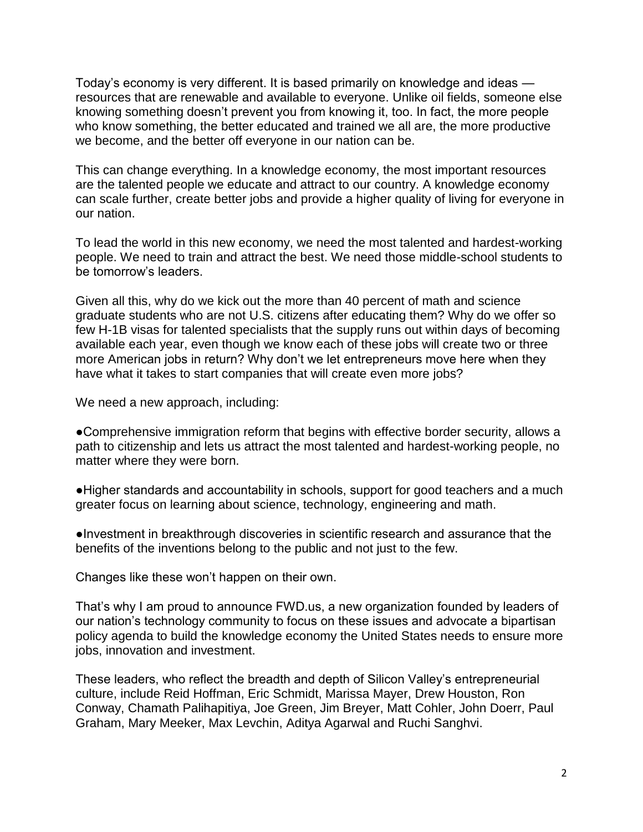Today's economy is very different. It is based primarily on knowledge and ideas resources that are renewable and available to everyone. Unlike oil fields, someone else knowing something doesn't prevent you from knowing it, too. In fact, the more people who know something, the better educated and trained we all are, the more productive we become, and the better off everyone in our nation can be.

This can change everything. In a knowledge economy, the most important resources are the talented people we educate and attract to our country. A knowledge economy can scale further, create better jobs and provide a higher quality of living for everyone in our nation.

To lead the world in this new economy, we need the most talented and hardest-working people. We need to train and attract the best. We need those middle-school students to be tomorrow's leaders.

Given all this, why do we kick out the more than 40 percent of math and science graduate students who are not U.S. citizens after educating them? Why do we offer so few H-1B visas for talented specialists that the supply runs out within days of becoming available each year, even though we know each of these jobs will create two or three more American jobs in return? Why don't we let entrepreneurs move here when they have what it takes to start companies that will create even more jobs?

We need a new approach, including:

●Comprehensive immigration reform that begins with effective border security, allows a path to citizenship and lets us attract the most talented and hardest-working people, no matter where they were born.

●Higher standards and accountability in schools, support for good teachers and a much greater focus on learning about science, technology, engineering and math.

●Investment in breakthrough discoveries in scientific research and assurance that the benefits of the inventions belong to the public and not just to the few.

Changes like these won't happen on their own.

That's why I am proud to announce FWD.us, a new organization founded by leaders of our nation's technology community to focus on these issues and advocate a bipartisan policy agenda to build the knowledge economy the United States needs to ensure more jobs, innovation and investment.

These leaders, who reflect the breadth and depth of Silicon Valley's entrepreneurial culture, include Reid Hoffman, Eric Schmidt, Marissa Mayer, Drew Houston, Ron Conway, Chamath Palihapitiya, Joe Green, Jim Breyer, Matt Cohler, John Doerr, Paul Graham, Mary Meeker, Max Levchin, Aditya Agarwal and Ruchi Sanghvi.